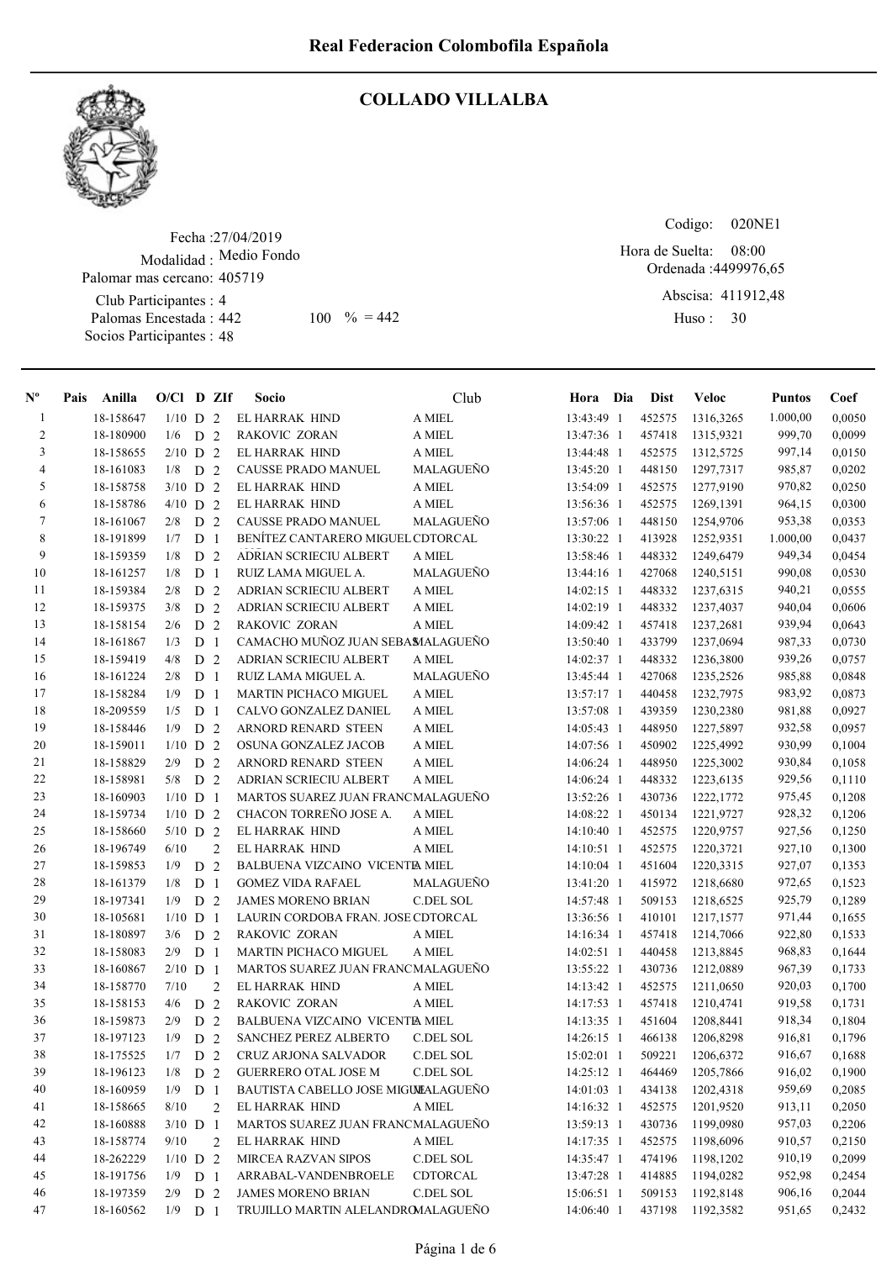

#### COLLADO VILLALBA

Fecha : 27/04/2019 Modalidad : Medio Fondo Club Participantes : 4 Palomas Encestada : Socios Participantes : 48 Palomar mas cercano: 405719 442 100  $\% = 442$  Huso: 30

Codigo: 020NE1

Ordenada : 4499976,65 Abscisa: 411912,48 Hora de Suelta: 08:00

Huso: 30

| $N^{\circ}$    | Anilla<br>Pais | $O/Cl$ D ZIf |                |                | <b>Socio</b>                        | Club             | Hora Dia     | <b>Dist</b> | Veloc            | <b>Puntos</b> | Coef   |
|----------------|----------------|--------------|----------------|----------------|-------------------------------------|------------------|--------------|-------------|------------------|---------------|--------|
| $\mathbf{1}$   | 18-158647      | $1/10$ D 2   |                |                | EL HARRAK HIND                      | A MIEL           | 13:43:49 1   | 452575      | 1316,3265        | 1.000,00      | 0,0050 |
| $\overline{2}$ | 18-180900      | 1/6          | D <sub>2</sub> |                | RAKOVIC ZORAN                       | A MIEL           | 13:47:36 1   | 457418      | 1315,9321        | 999,70        | 0,0099 |
| 3              | 18-158655      | $2/10$ D 2   |                |                | EL HARRAK HIND                      | A MIEL           | 13:44:48 1   | 452575      | 1312,5725        | 997,14        | 0,0150 |
| 4              | 18-161083      | 1/8          | D <sub>2</sub> |                | <b>CAUSSE PRADO MANUEL</b>          | MALAGUEÑO        | 13:45:20 1   | 448150      | 1297,7317        | 985,87        | 0,0202 |
| 5              | 18-158758      | $3/10$ D     |                | 2              | EL HARRAK HIND                      | A MIEL           | 13:54:09 1   | 452575      | 1277,9190        | 970,82        | 0,0250 |
| 6              | 18-158786      | $4/10$ D 2   |                |                | EL HARRAK HIND                      | A MIEL           | 13:56:36 1   | 452575      | 1269,1391        | 964,15        | 0,0300 |
| 7              | 18-161067      | 2/8          | D <sub>2</sub> |                | CAUSSE PRADO MANUEL                 | MALAGUEÑO        | 13:57:06 1   | 448150      | 1254,9706        | 953,38        | 0,0353 |
| $\,8\,$        | 18-191899      | 1/7          | D <sub>1</sub> |                | BENÍTEZ CANTARERO MIGUEL CDTORCAL   |                  | 13:30:22 1   | 413928      | 1252,9351        | 1.000,00      | 0,0437 |
| 9              | 18-159359      | 1/8          | D <sub>2</sub> |                | <b>ADRIAN SCRIECIU ALBERT</b>       | A MIEL           | 13:58:46 1   | 448332      | 1249,6479        | 949,34        | 0,0454 |
| 10             | 18-161257      | 1/8          | D <sub>1</sub> |                | RUIZ LAMA MIGUEL A.                 | MALAGUEÑO        | 13:44:16 1   | 427068      | 1240,5151        | 990,08        | 0,0530 |
| 11             | 18-159384      | 2/8          | D <sub>2</sub> |                | ADRIAN SCRIECIU ALBERT              | A MIEL           | 14:02:15 1   | 448332      | 1237,6315        | 940,21        | 0,0555 |
| 12             | 18-159375      | 3/8          | D <sub>2</sub> |                | <b>ADRIAN SCRIECIU ALBERT</b>       | A MIEL           | 14:02:19 1   | 448332      | 1237,4037        | 940,04        | 0,0606 |
| 13             | 18-158154      | 2/6          | D 2            |                | RAKOVIC ZORAN                       | A MIEL           | 14:09:42 1   | 457418      | 1237,2681        | 939,94        | 0,0643 |
| 14             | 18-161867      | 1/3          | D <sub>1</sub> |                | CAMACHO MUÑOZ JUAN SEBAMALAGUEÑO    |                  | 13:50:40 1   | 433799      | 1237,0694        | 987,33        | 0,0730 |
| 15             | 18-159419      | 4/8          | D 2            |                | <b>ADRIAN SCRIECIU ALBERT</b>       | A MIEL           | 14:02:37 1   | 448332      | 1236,3800        | 939,26        | 0,0757 |
| 16             | 18-161224      | 2/8          | $D_1$          |                | RUIZ LAMA MIGUEL A.                 | MALAGUEÑO        | 13:45:44 1   | 427068      | 1235,2526        | 985,88        | 0,0848 |
| 17             | 18-158284      | 1/9          | D <sub>1</sub> |                | <b>MARTIN PICHACO MIGUEL</b>        | A MIEL           | $13:57:17$ 1 | 440458      | 1232,7975        | 983,92        | 0,0873 |
| 18             | 18-209559      | 1/5          | D <sub>1</sub> |                | CALVO GONZALEZ DANIEL               | A MIEL           | 13:57:08 1   | 439359      | 1230,2380        | 981,88        | 0,0927 |
| 19             | 18-158446      | 1/9          | D <sub>2</sub> |                | ARNORD RENARD STEEN                 | A MIEL           | 14:05:43 1   | 448950      | 1227,5897        | 932,58        | 0,0957 |
| 20             | 18-159011      | $1/10$ D 2   |                |                | OSUNA GONZALEZ JACOB                | A MIEL           | 14:07:56 1   | 450902      | 1225,4992        | 930,99        | 0,1004 |
| 21             | 18-158829      | 2/9          | D <sub>2</sub> |                | ARNORD RENARD STEEN                 | A MIEL           | 14:06:24 1   | 448950      | 1225,3002        | 930,84        | 0,1058 |
| 22             | 18-158981      | 5/8          | D <sub>2</sub> |                | <b>ADRIAN SCRIECIU ALBERT</b>       | A MIEL           | 14:06:24 1   | 448332      | 1223,6135        | 929,56        | 0,1110 |
| 23             | 18-160903      | $1/10$ D 1   |                |                | MARTOS SUAREZ JUAN FRANCMALAGUEÑO   |                  | 13:52:26 1   | 430736      | 1222,1772        | 975,45        | 0,1208 |
| 24             | 18-159734      | $1/10$ D 2   |                |                | CHACON TORREÑO JOSE A.              | A MIEL           | 14:08:22 1   | 450134      | 1221,9727        | 928,32        | 0,1206 |
| 25             | 18-158660      | $5/10$ D 2   |                |                | EL HARRAK HIND                      | A MIEL           | 14:10:40 1   | 452575      | 1220,9757        | 927,56        | 0,1250 |
| 26             | 18-196749      | 6/10         |                | $\overline{2}$ | EL HARRAK HIND                      | A MIEL           | 14:10:51 1   | 452575      | 1220,3721        | 927,10        | 0,1300 |
| 27             | 18-159853      | 1/9          | D              | 2              | BALBUENA VIZCAINO VICENTIA MIEL     |                  | $14:10:04$ 1 | 451604      | 1220,3315        | 927,07        | 0,1353 |
| 28             | 18-161379      | 1/8          | D <sub>1</sub> |                | <b>GOMEZ VIDA RAFAEL</b>            | MALAGUEÑO        | 13:41:20 1   | 415972      | 1218,6680        | 972,65        | 0,1523 |
| 29             | 18-197341      | 1/9          | D <sub>2</sub> |                | <b>JAMES MORENO BRIAN</b>           | C.DEL SOL        | 14:57:48 1   | 509153      | 1218,6525        | 925,79        | 0,1289 |
| 30             | 18-105681      | $1/10$ D 1   |                |                | LAURIN CORDOBA FRAN. JOSE CDTORCAL  |                  | 13:36:56 1   | 410101      | 1217,1577        | 971,44        | 0,1655 |
| 31             | 18-180897      | 3/6          | D <sub>2</sub> |                | RAKOVIC ZORAN                       | A MIEL           | 14:16:34 1   | 457418      | 1214,7066        | 922,80        | 0,1533 |
| 32             | 18-158083      | 2/9          | D <sub>1</sub> |                | MARTIN PICHACO MIGUEL               | A MIEL           | 14:02:51 1   | 440458      | 1213,8845        | 968,83        | 0,1644 |
| 33             | 18-160867      | $2/10$ D 1   |                |                | MARTOS SUAREZ JUAN FRANCMALAGUEÑO   |                  | 13:55:22 1   | 430736      | 1212,0889        | 967,39        | 0,1733 |
| 34             | 18-158770      | 7/10         |                | 2              | EL HARRAK HIND                      | A MIEL           | 14:13:42 1   | 452575      | 1211,0650        | 920,03        | 0,1700 |
| 35             | 18-158153      | 4/6          | D <sub>2</sub> |                | RAKOVIC ZORAN                       | A MIEL           | 14:17:53 1   | 457418      | 1210,4741        | 919,58        | 0,1731 |
| 36             | 18-159873      | 2/9          | D <sub>2</sub> |                | BALBUENA VIZCAINO VICENTE MIEL      |                  | 14:13:35 1   | 451604      | 1208,8441        | 918,34        | 0,1804 |
| 37             | 18-197123      | 1/9          | D <sub>2</sub> |                | SANCHEZ PEREZ ALBERTO               | <b>C.DEL SOL</b> | 14:26:15 1   | 466138      | 1206,8298        | 916,81        | 0,1796 |
| 38             | 18-175525      | $1/7$ D 2    |                |                | CRUZ ARJONA SALVADOR C.DEL SOL      |                  | 15:02:01 1   |             | 509221 1206,6372 | 916,67        | 0,1688 |
| 39             | 18-196123      | 1/8          | D 2            |                | <b>GUERRERO OTAL JOSE M</b>         | C.DEL SOL        | $14:25:12$ 1 | 464469      | 1205,7866        | 916,02        | 0,1900 |
| 40             | 18-160959      | 1/9          | D <sub>1</sub> |                | BAUTISTA CABELLO JOSE MIGULALAGUEÑO |                  | $14:01:03$ 1 | 434138      | 1202,4318        | 959,69        | 0,2085 |
| 41             | 18-158665      | 8/10         |                | 2              | EL HARRAK HIND                      | A MIEL           | 14:16:32 1   | 452575      | 1201,9520        | 913,11        | 0,2050 |
| 42             | 18-160888      | $3/10$ D 1   |                |                | MARTOS SUAREZ JUAN FRANCMALAGUEÑO   |                  | 13:59:13 1   | 430736      | 1199,0980        | 957,03        | 0,2206 |
| 43             | 18-158774      | 9/10         |                | 2              | EL HARRAK HIND                      | A MIEL           | 14:17:35 1   | 452575      | 1198,6096        | 910,57        | 0,2150 |
| 44             | 18-262229      | $1/10$ D 2   |                |                | <b>MIRCEA RAZVAN SIPOS</b>          | C.DEL SOL        | 14:35:47 1   | 474196      | 1198,1202        | 910,19        | 0,2099 |
| 45             | 18-191756      | 1/9          | D 1            |                | ARRABAL-VANDENBROELE                | CDTORCAL         | 13:47:28 1   | 414885      | 1194,0282        | 952,98        | 0,2454 |
| 46             | 18-197359      | 2/9          | D 2            |                | <b>JAMES MORENO BRIAN</b>           | C.DEL SOL        | 15:06:51 1   | 509153      | 1192,8148        | 906,16        | 0,2044 |
| 47             | 18-160562      | $1/9$ D 1    |                |                | TRUJILLO MARTIN ALELANDROMALAGUEÑO  |                  | 14:06:40 1   | 437198      | 1192,3582        | 951,65        | 0,2432 |
|                |                |              |                |                |                                     |                  |              |             |                  |               |        |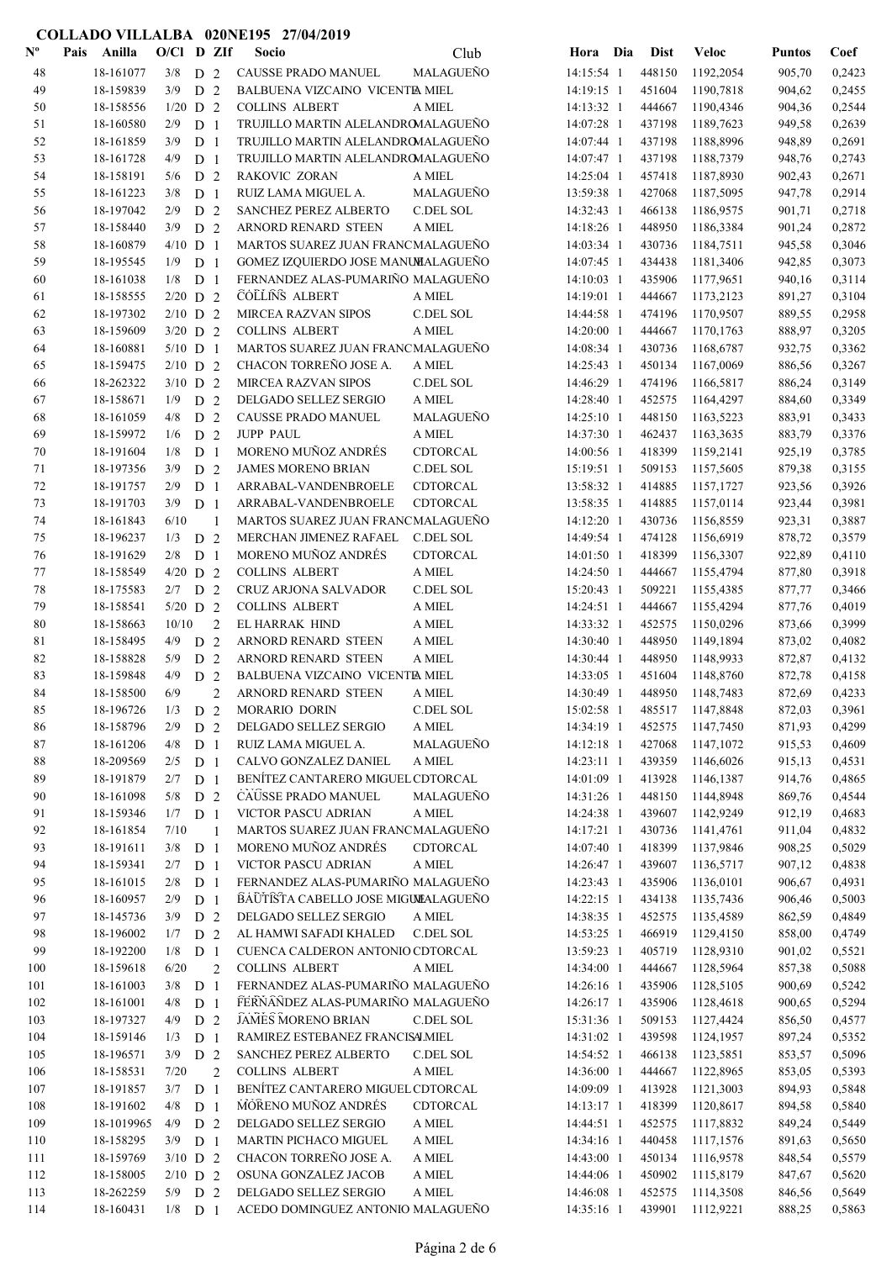| $\mathbf{N}^{\mathbf{o}}$ | Anilla<br>Pais         | $O/C1$ D ZIf     |                                  |                | Socio                                                                  | Club                | Hora Dia                 | <b>Dist</b>      | Veloc                  | <b>Puntos</b>    | Coef             |
|---------------------------|------------------------|------------------|----------------------------------|----------------|------------------------------------------------------------------------|---------------------|--------------------------|------------------|------------------------|------------------|------------------|
| 48                        | 18-161077              | 3/8              | D 2                              |                | <b>CAUSSE PRADO MANUEL</b>                                             | MALAGUEÑO           | 14:15:54 1               | 448150           | 1192,2054              | 905,70           | 0,2423           |
| 49                        | 18-159839              | 3/9              | D <sub>2</sub>                   |                | BALBUENA VIZCAINO VICENTE MIEL                                         |                     | 14:19:15 1               | 451604           | 1190,7818              | 904,62           | 0,2455           |
| 50                        | 18-158556              | $1/20$ D 2       |                                  |                | <b>COLLINS ALBERT</b>                                                  | A MIEL              | 14:13:32 1               | 444667           | 1190,4346              | 904,36           | 0,2544           |
| 51                        | 18-160580              | 2/9              | D <sub>1</sub>                   |                | TRUJILLO MARTIN ALELANDROMALAGUEÑO                                     |                     | 14:07:28 1               | 437198           | 1189,7623              | 949,58           | 0,2639           |
| 52                        | 18-161859              | 3/9              | D <sub>1</sub>                   |                | TRUJILLO MARTIN ALELANDROMALAGUEÑO                                     |                     | 14:07:44 1               | 437198           | 1188,8996              | 948,89           | 0,2691           |
| 53                        | 18-161728              | 4/9              | D <sub>1</sub>                   |                | TRUJILLO MARTIN ALELANDROMALAGUEÑO                                     |                     | 14:07:47 1               | 437198           | 1188,7379              | 948,76           | 0,2743           |
| 54                        | 18-158191              | 5/6              | D <sub>2</sub>                   |                | RAKOVIC ZORAN                                                          | A MIEL              | 14:25:04 1               | 457418           | 1187,8930              | 902,43           | 0,2671           |
| 55                        | 18-161223              | 3/8              | D <sub>1</sub>                   |                | RUIZ LAMA MIGUEL A.                                                    | MALAGUEÑO           | 13:59:38 1               | 427068           | 1187,5095              | 947,78           | 0,2914           |
| 56                        | 18-197042              | 2/9              | D <sub>2</sub>                   |                | SANCHEZ PEREZ ALBERTO                                                  | C.DEL SOL           | 14:32:43 1               | 466138           | 1186,9575              | 901,71           | 0,2718           |
| 57                        | 18-158440              | 3/9              | D <sub>2</sub>                   |                | ARNORD RENARD STEEN                                                    | A MIEL              | 14:18:26 1               | 448950           | 1186,3384              | 901,24           | 0,2872           |
| 58                        | 18-160879              | $4/10$ D 1       |                                  |                | MARTOS SUAREZ JUAN FRANCMALAGUEÑO                                      |                     | 14:03:34 1               | 430736           | 1184,7511              | 945,58           | 0,3046           |
| 59                        | 18-195545              | 1/9              | D <sub>1</sub>                   |                | GOMEZ IZQUIERDO JOSE MANUMALAGUEÑO                                     |                     | 14:07:45 1               | 434438           | 1181,3406              | 942,85           | 0,3073           |
| 60                        | 18-161038              | 1/8              | D <sub>1</sub>                   |                | FERNANDEZ ALAS-PUMARIÑO MALAGUEÑO                                      |                     | 14:10:03 1               | 435906           | 1177,9651              | 940,16           | 0,3114           |
| 61                        | 18-158555              | $2/20$ D 2       |                                  |                | <b>COLLINS ALBERT</b>                                                  | A MIEL              | 14:19:01 1               | 444667           | 1173,2123              | 891,27           | 0,3104           |
| 62                        | 18-197302              | $2/10$ D 2       |                                  |                | <b>MIRCEA RAZVAN SIPOS</b>                                             | C.DEL SOL           | 14:44:58 1               | 474196           | 1170,9507              | 889,55           | 0,2958           |
| 63                        | 18-159609              | $3/20$ D 2       |                                  |                | <b>COLLINS ALBERT</b>                                                  | A MIEL              | 14:20:00 1               | 444667           | 1170,1763              | 888,97           | 0,3205           |
| 64                        | 18-160881              | $5/10$ D 1       |                                  |                | MARTOS SUAREZ JUAN FRANCMALAGUEÑO                                      |                     | 14:08:34 1               | 430736           | 1168,6787              | 932,75           | 0,3362           |
| 65                        | 18-159475              | $2/10$ D 2       |                                  |                | CHACON TORREÑO JOSE A.                                                 | A MIEL              | 14:25:43 1               | 450134           | 1167,0069              | 886,56           | 0,3267           |
| 66                        | 18-262322              | $3/10$ D 2       |                                  |                | MIRCEA RAZVAN SIPOS                                                    | C.DEL SOL           | 14:46:29 1               | 474196           | 1166,5817              | 886,24           | 0,3149           |
| 67                        | 18-158671              | 1/9              | D <sub>2</sub>                   |                | DELGADO SELLEZ SERGIO                                                  | A MIEL<br>MALAGUEÑO | 14:28:40 1               | 452575           | 1164,4297              | 884,60           | 0,3349           |
| 68                        | 18-161059              | 4/8              | D <sub>2</sub>                   |                | <b>CAUSSE PRADO MANUEL</b><br><b>JUPP PAUL</b>                         |                     | $14:25:10$ 1             | 448150           | 1163,5223              | 883,91           | 0,3433           |
| 69                        | 18-159972<br>18-191604 | 1/6<br>1/8       | D <sub>2</sub><br>D <sub>1</sub> |                | MORENO MUÑOZ ANDRÉS                                                    | A MIEL<br>CDTORCAL  | 14:37:30 1<br>14:00:56 1 | 462437<br>418399 | 1163,3635<br>1159,2141 | 883,79<br>925,19 | 0,3376<br>0,3785 |
| 70                        | 18-197356              | 3/9              | D <sub>2</sub>                   |                | <b>JAMES MORENO BRIAN</b>                                              | C.DEL SOL           | 15:19:51 1               | 509153           | 1157,5605              | 879,38           | 0,3155           |
| 71<br>72                  | 18-191757              | 2/9              | D <sub>1</sub>                   |                | ARRABAL-VANDENBROELE                                                   | CDTORCAL            | 13:58:32 1               | 414885           | 1157,1727              | 923,56           | 0,3926           |
| 73                        | 18-191703              | 3/9              | D <sub>1</sub>                   |                | ARRABAL-VANDENBROELE                                                   | CDTORCAL            | 13:58:35 1               | 414885           | 1157,0114              | 923,44           | 0,3981           |
| 74                        | 18-161843              | 6/10             |                                  | $\mathbf{1}$   | MARTOS SUAREZ JUAN FRANCMALAGUEÑO                                      |                     | 14:12:20 1               | 430736           | 1156,8559              | 923,31           | 0,3887           |
| 75                        | 18-196237              | 1/3              | D <sub>2</sub>                   |                | MERCHAN JIMENEZ RAFAEL                                                 | C.DEL SOL           | 14:49:54 1               | 474128           | 1156,6919              | 878,72           | 0,3579           |
| 76                        | 18-191629              | 2/8              | D <sub>1</sub>                   |                | MORENO MUÑOZ ANDRÉS                                                    | CDTORCAL            | 14:01:50 1               | 418399           | 1156,3307              | 922,89           | 0,4110           |
| 77                        | 18-158549              | $4/20$ D 2       |                                  |                | <b>COLLINS ALBERT</b>                                                  | A MIEL              | 14:24:50 1               | 444667           | 1155,4794              | 877,80           | 0,3918           |
| 78                        | 18-175583              | $2/7$ D 2        |                                  |                | CRUZ ARJONA SALVADOR                                                   | C.DEL SOL           | 15:20:43 1               | 509221           | 1155,4385              | 877,77           | 0,3466           |
| 79                        | 18-158541              | $5/20$ D 2       |                                  |                | <b>COLLINS ALBERT</b>                                                  | A MIEL              | 14:24:51 1               | 444667           | 1155,4294              | 877,76           | 0,4019           |
| 80                        | 18-158663              | 10/10            |                                  | $\overline{c}$ | EL HARRAK HIND                                                         | A MIEL              | 14:33:32 1               | 452575           | 1150,0296              | 873,66           | 0,3999           |
| 81                        | 18-158495              | 4/9              | D <sub>2</sub>                   |                | ARNORD RENARD STEEN                                                    | A MIEL              | 14:30:40 1               | 448950           | 1149,1894              | 873,02           | 0,4082           |
| 82                        | 18-158828              | 5/9              | D <sub>2</sub>                   |                | ARNORD RENARD STEEN                                                    | A MIEL              | 14:30:44 1               | 448950           | 1148,9933              | 872,87           | 0,4132           |
| 83                        | 18-159848              | 4/9              | D <sub>2</sub>                   |                | BALBUENA VIZCAINO VICENTE MIEL                                         |                     | 14:33:05 1               | 451604           | 1148,8760              | 872,78           | 0,4158           |
| 84                        | 18-158500              | 6/9              |                                  | $\overline{2}$ | ARNORD RENARD STEEN                                                    | A MIEL              | 14:30:49 1               | 448950           | 1148,7483              | 872,69           | 0,4233           |
| 85                        | 18-196726              | $1/3$ D 2        |                                  |                | MORARIO DORIN                                                          | C.DEL SOL           | 15:02:58 1               | 485517           | 1147,8848              | 872,03           | 0,3961           |
| 86                        | 18-158796              | 2/9              | D 2                              |                | DELGADO SELLEZ SERGIO                                                  | A MIEL              | 14:34:19 1               | 452575           | 1147,7450              | 871,93           | 0,4299           |
| 87                        | 18-161206              | 4/8              | D <sub>1</sub>                   |                | RUIZ LAMA MIGUEL A.                                                    | MALAGUEÑO           | 14:12:18 1               | 427068           | 1147,1072              | 915,53           | 0,4609           |
| $\bf 88$                  | 18-209569              | 2/5              | D <sub>1</sub>                   |                | CALVO GONZALEZ DANIEL                                                  | A MIEL              | 14:23:11 1               | 439359           | 1146,6026              | 915,13           | 0,4531           |
| 89                        | 18-191879              | $2/7$ D 1        |                                  |                | BENÍTEZ CANTARERO MIGUEL CDTORCAL                                      |                     | 14:01:09 1               | 413928           | 1146,1387              | 914,76           | 0,4865           |
| 90                        | 18-161098              | $5/8$ D $2$      |                                  |                | CAUSSE PRADO MANUEL                                                    | MALAGUEÑO           | 14:31:26 1               | 448150           | 1144,8948              | 869,76           | 0,4544           |
| 91                        | 18-159346              | $1/7$ D 1        |                                  |                | VICTOR PASCU ADRIAN                                                    | $\mathbf A$ MIEL    | 14:24:38 1               | 439607           | 1142,9249              | 912,19           | 0,4683           |
| 92                        | 18-161854              | 7/10             |                                  | $\overline{1}$ | MARTOS SUAREZ JUAN FRANCMALAGUEÑO                                      |                     | 14:17:21 1               | 430736           | 1141,4761              | 911,04           | 0,4832           |
| 93                        | 18-191611              | $3/8$ D 1        |                                  |                | MORENO MUÑOZ ANDRÉS                                                    | CDTORCAL            | 14:07:40 1               | 418399           | 1137,9846              | 908,25           | 0,5029           |
| 94                        | 18-159341              | $2/7$ D 1        |                                  |                | VICTOR PASCU ADRIAN                                                    | A MIEL              | 14:26:47 1               | 439607           | 1136,5717              | 907,12           | 0,4838           |
| 95                        | 18-161015              | 2/8              | D <sub>1</sub>                   |                | FERNANDEZ ALAS-PUMARIÑO MALAGUEÑO                                      |                     | 14:23:43 1               | 435906           | 1136,0101              | 906,67           | 0,4931           |
| 96                        | 18-160957              | 2/9              | D <sub>1</sub>                   |                | BAUTISTA CABELLO JOSE MIGULALAGUEÑO                                    |                     | 14:22:15 1               | 434138           | 1135,7436              | 906,46           | 0,5003           |
| 97                        | 18-145736              | 3/9              | D 2                              |                | DELGADO SELLEZ SERGIO                                                  | A MIEL              | 14:38:35 1               | 452575           | 1135,4589              | 862,59           | 0,4849           |
| 98                        | 18-196002              | $1/7$ D 2        |                                  |                | AL HAMWI SAFADI KHALED                                                 | C.DEL SOL           | 14:53:25 1               | 466919           | 1129,4150              | 858,00           | 0,4749           |
| 99                        | 18-192200              | $1/8$ D 1        |                                  |                | CUENCA CALDERON ANTONIO CDTORCAL                                       |                     | 13:59:23 1               | 405719           | 1128,9310              | 901,02           | 0,5521           |
| 100                       | 18-159618              | 6/20             |                                  | $\overline{c}$ | COLLINS ALBERT                                                         | A MIEL              | 14:34:00 1               | 444667           | 1128,5964              | 857,38           | 0,5088           |
| 101<br>102                | 18-161003<br>18-161001 | $3/8$ D 1<br>4/8 | D <sub>1</sub>                   |                | FERNANDEZ ALAS-PUMARIÑO MALAGUEÑO<br>FERNANDEZ ALAS-PUMARIÑO MALAGUEÑO |                     | 14:26:16 1<br>14:26:17 1 | 435906<br>435906 | 1128,5105<br>1128,4618 | 900,69           | 0,5242<br>0,5294 |
| 103                       | 18-197327              | 4/9              | D <sub>2</sub>                   |                | <b>JAMES MORENO BRIAN</b>                                              | C.DEL SOL           | 15:31:36 1               | 509153           | 1127,4424              | 900,65<br>856,50 | 0,4577           |
| 104                       | 18-159146              | 1/3              | D <sub>1</sub>                   |                | RAMIREZ ESTEBANEZ FRANCISALMIEL                                        |                     | 14:31:02 1               | 439598           | 1124,1957              | 897,24           | 0,5352           |
| 105                       | 18-196571              | $3/9$ D 2        |                                  |                | SANCHEZ PEREZ ALBERTO                                                  | C.DEL SOL           | 14:54:52 1               | 466138           | 1123,5851              | 853,57           | 0,5096           |
| 106                       | 18-158531              | 7/20             |                                  | $\overline{2}$ | <b>COLLINS ALBERT</b>                                                  | A MIEL              | 14:36:00 1               | 444667           | 1122,8965              | 853,05           | 0,5393           |
| 107                       | 18-191857              | $3/7$ D 1        |                                  |                | BENÍTEZ CANTARERO MIGUEL CDTORCAL                                      |                     | 14:09:09 1               | 413928           | 1121,3003              | 894,93           | 0,5848           |
| 108                       | 18-191602              | 4/8              | D <sub>1</sub>                   |                | MORENO MUÑOZ ANDRÉS                                                    | CDTORCAL            | 14:13:17 1               | 418399           | 1120,8617              | 894,58           | 0,5840           |
| 109                       | 18-1019965             | $4/9$ D 2        |                                  |                | DELGADO SELLEZ SERGIO                                                  | A MIEL              | 14:44:51 1               | 452575           | 1117,8832              | 849,24           | 0,5449           |
| 110                       | 18-158295              | $3/9$ D 1        |                                  |                | MARTIN PICHACO MIGUEL                                                  | A MIEL              | 14:34:16 1               | 440458           | 1117,1576              | 891,63           | 0,5650           |
| 111                       | 18-159769              | $3/10$ D 2       |                                  |                | CHACON TORREÑO JOSE A.                                                 | A MIEL              | 14:43:00 1               | 450134           | 1116,9578              | 848,54           | 0,5579           |
| 112                       | 18-158005              | $2/10$ D 2       |                                  |                | OSUNA GONZALEZ JACOB                                                   | $\mathbf A$ MIEL    | 14:44:06 1               | 450902           | 1115,8179              | 847,67           | 0,5620           |
| 113                       | 18-262259              | $5/9$ D 2        |                                  |                | DELGADO SELLEZ SERGIO                                                  | A MIEL              | 14:46:08 1               | 452575           | 1114,3508              | 846,56           | 0,5649           |
| 114                       | 18-160431              | $1/8$ D 1        |                                  |                | ACEDO DOMINGUEZ ANTONIO MALAGUEÑO                                      |                     | 14:35:16 1               | 439901           | 1112,9221              | 888,25           | 0,5863           |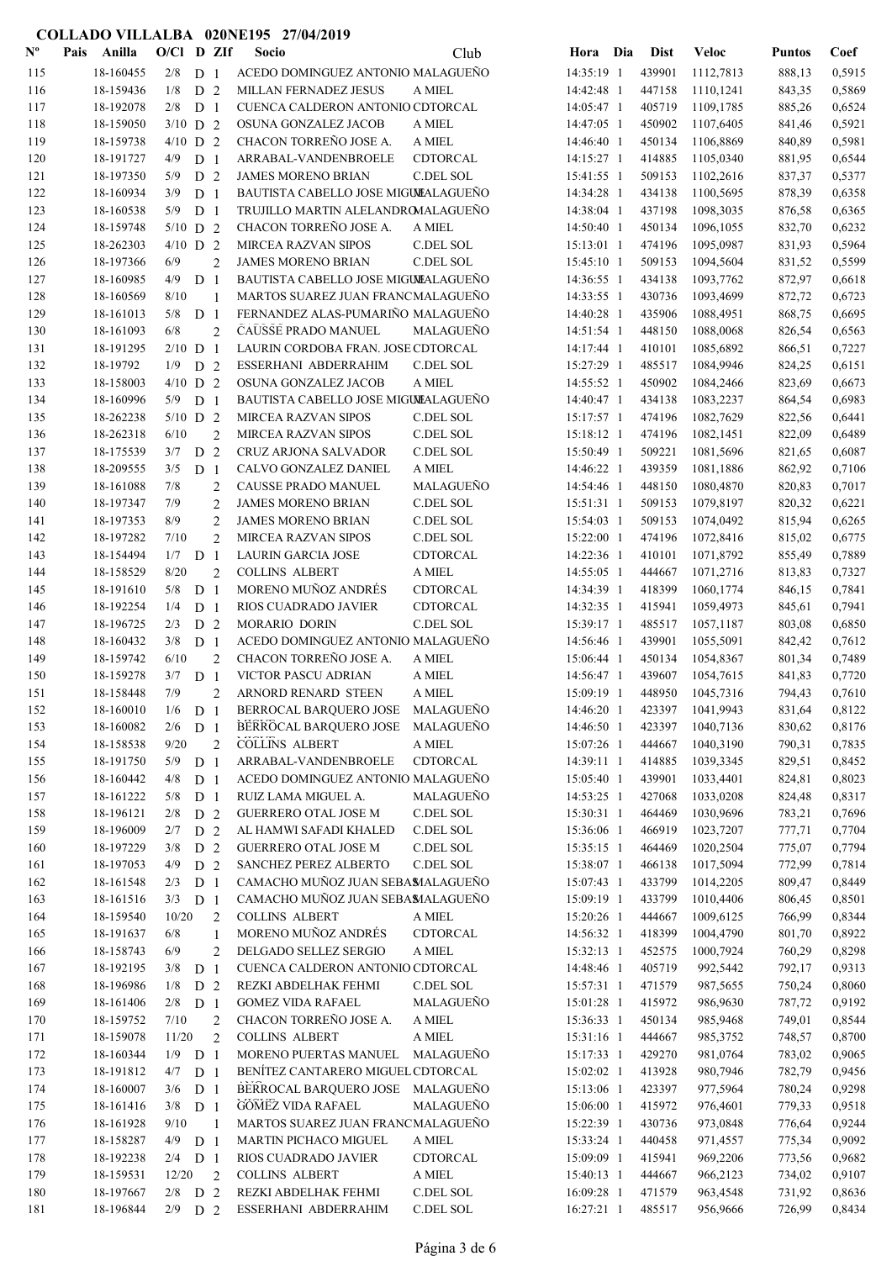| $\mathbf{N}^{\mathbf{o}}$ | Pais | Anilla    | $O/Cl$ D ZIf |                |                | Socio                                | Club             | Hora Dia     | <b>Dist</b> | <b>Veloc</b> | <b>Puntos</b> | Coef   |
|---------------------------|------|-----------|--------------|----------------|----------------|--------------------------------------|------------------|--------------|-------------|--------------|---------------|--------|
| 115                       |      | 18-160455 | 2/8          | D <sub>1</sub> |                | ACEDO DOMINGUEZ ANTONIO MALAGUEÑO    |                  | 14:35:19 1   | 439901      | 1112,7813    | 888,13        | 0,5915 |
| 116                       |      | 18-159436 | 1/8          | D <sub>2</sub> |                | MILLAN FERNADEZ JESUS                | A MIEL           | 14:42:48 1   | 447158      | 1110,1241    | 843,35        | 0,5869 |
| 117                       |      | 18-192078 | 2/8          | D <sub>1</sub> |                | CUENCA CALDERON ANTONIO CDTORCAL     |                  | 14:05:47 1   | 405719      | 1109,1785    | 885,26        | 0,6524 |
| 118                       |      | 18-159050 | $3/10$ D 2   |                |                | OSUNA GONZALEZ JACOB                 | A MIEL           | 14:47:05 1   | 450902      | 1107,6405    | 841,46        | 0,5921 |
| 119                       |      | 18-159738 | $4/10$ D 2   |                |                | CHACON TORREÑO JOSE A.               | A MIEL           | 14:46:40 1   | 450134      | 1106,8869    | 840,89        | 0,5981 |
| 120                       |      | 18-191727 | 4/9          | D <sub>1</sub> |                | ARRABAL-VANDENBROELE                 | CDTORCAL         | 14:15:27 1   | 414885      | 1105,0340    | 881,95        | 0,6544 |
| 121                       |      | 18-197350 | 5/9          | D 2            |                | <b>JAMES MORENO BRIAN</b>            | C.DEL SOL        | 15:41:55 1   | 509153      | 1102,2616    | 837,37        | 0,5377 |
| 122                       |      | 18-160934 | 3/9          | D <sub>1</sub> |                | BAUTISTA CABELLO JOSE MIGULALAGUEÑO  |                  | 14:34:28 1   | 434138      | 1100,5695    | 878,39        | 0,6358 |
| 123                       |      | 18-160538 | 5/9          | D <sub>1</sub> |                | TRUJILLO MARTIN ALELANDROMALAGUEÑO   |                  | 14:38:04 1   | 437198      | 1098,3035    | 876,58        | 0,6365 |
| 124                       |      | 18-159748 | $5/10$ D 2   |                |                | CHACON TORREÑO JOSE A.               | A MIEL           | 14:50:40 1   | 450134      | 1096,1055    | 832,70        | 0,6232 |
| 125                       |      | 18-262303 | $4/10$ D 2   |                |                | <b>MIRCEA RAZVAN SIPOS</b>           | C.DEL SOL        | 15:13:01 1   | 474196      | 1095,0987    | 831,93        | 0,5964 |
| 126                       |      | 18-197366 | 6/9          |                | $\overline{2}$ | <b>JAMES MORENO BRIAN</b>            | C.DEL SOL        | 15:45:10 1   | 509153      | 1094,5604    | 831,52        | 0,5599 |
| 127                       |      | 18-160985 | 4/9          | D <sub>1</sub> |                | BAUTISTA CABELLO JOSE MIGULALAGUEÑO  |                  | 14:36:55 1   | 434138      | 1093,7762    | 872,97        | 0,6618 |
| 128                       |      | 18-160569 | 8/10         |                | 1              | MARTOS SUAREZ JUAN FRANCMALAGUEÑO    |                  | 14:33:55 1   | 430736      | 1093,4699    | 872,72        | 0,6723 |
| 129                       |      | 18-161013 | 5/8          | D <sub>1</sub> |                | FERNANDEZ ALAS-PUMARIÑO MALAGUEÑO    |                  | 14:40:28 1   | 435906      | 1088,4951    | 868,75        | 0,6695 |
| 130                       |      | 18-161093 | 6/8          |                | $\overline{2}$ | CAUSSE PRADO MANUEL                  | MALAGUEÑO        | 14:51:54 1   | 448150      | 1088,0068    | 826,54        | 0,6563 |
| 131                       |      | 18-191295 | $2/10$ D 1   |                |                | LAURIN CORDOBA FRAN. JOSE CDTORCAL   |                  | 14:17:44 1   | 410101      | 1085,6892    | 866,51        | 0,7227 |
| 132                       |      | 18-19792  | 1/9          | D <sub>2</sub> |                | ESSERHANI ABDERRAHIM                 | C.DEL SOL        | 15:27:29 1   | 485517      | 1084,9946    | 824,25        | 0,6151 |
| 133                       |      | 18-158003 | $4/10$ D 2   |                |                | OSUNA GONZALEZ JACOB                 | A MIEL           | 14:55:52 1   | 450902      | 1084,2466    | 823,69        | 0,6673 |
| 134                       |      | 18-160996 | 5/9          | D <sub>1</sub> |                | BAUTISTA CABELLO JOSE MIGUIEALAGUEÑO |                  | 14:40:47 1   | 434138      | 1083,2237    | 864,54        | 0,6983 |
| 135                       |      | 18-262238 | $5/10$ D 2   |                |                | <b>MIRCEA RAZVAN SIPOS</b>           | C.DEL SOL        | 15:17:57 1   | 474196      | 1082,7629    | 822,56        | 0,6441 |
| 136                       |      | 18-262318 | 6/10         |                | $\overline{2}$ | <b>MIRCEA RAZVAN SIPOS</b>           | C.DEL SOL        | 15:18:12 1   | 474196      | 1082,1451    | 822,09        | 0,6489 |
| 137                       |      | 18-175539 | 3/7          | D <sub>2</sub> |                | CRUZ ARJONA SALVADOR                 | C.DEL SOL        | 15:50:49 1   | 509221      | 1081,5696    | 821,65        | 0,6087 |
| 138                       |      | 18-209555 | 3/5          | D <sub>1</sub> |                | CALVO GONZALEZ DANIEL                | A MIEL           | 14:46:22 1   | 439359      | 1081,1886    | 862,92        | 0,7106 |
| 139                       |      | 18-161088 | 7/8          |                | $\overline{2}$ | CAUSSE PRADO MANUEL                  | MALAGUEÑO        | 14:54:46 1   | 448150      | 1080,4870    | 820,83        | 0,7017 |
| 140                       |      | 18-197347 | 7/9          |                | $\overline{2}$ | <b>JAMES MORENO BRIAN</b>            | C.DEL SOL        | 15:51:31 1   | 509153      | 1079,8197    | 820,32        | 0,6221 |
| 141                       |      | 18-197353 | 8/9          |                | $\overline{c}$ | <b>JAMES MORENO BRIAN</b>            | C.DEL SOL        | 15:54:03 1   | 509153      | 1074,0492    | 815,94        | 0,6265 |
| 142                       |      | 18-197282 | 7/10         |                | $\overline{2}$ | <b>MIRCEA RAZVAN SIPOS</b>           | C.DEL SOL        | 15:22:00 1   | 474196      | 1072,8416    | 815,02        | 0,6775 |
| 143                       |      | 18-154494 | 1/7          | D <sub>1</sub> |                | <b>LAURIN GARCIA JOSE</b>            | CDTORCAL         | 14:22:36 1   | 410101      | 1071,8792    | 855,49        | 0,7889 |
| 144                       |      | 18-158529 | 8/20         |                | $\overline{2}$ | <b>COLLINS ALBERT</b>                | A MIEL           | 14:55:05 1   | 444667      | 1071,2716    | 813,83        | 0,7327 |
| 145                       |      | 18-191610 | 5/8          | D <sub>1</sub> |                | MORENO MUÑOZ ANDRÉS                  | CDTORCAL         | 14:34:39 1   | 418399      | 1060,1774    | 846,15        | 0,7841 |
| 146                       |      | 18-192254 | 1/4          | D <sub>1</sub> |                | RIOS CUADRADO JAVIER                 | CDTORCAL         | 14:32:35 1   | 415941      | 1059,4973    | 845,61        | 0,7941 |
| 147                       |      | 18-196725 | 2/3          | D <sub>2</sub> |                | <b>MORARIO DORIN</b>                 | <b>C.DEL SOL</b> | 15:39:17 1   | 485517      | 1057,1187    | 803,08        | 0,6850 |
| 148                       |      | 18-160432 | 3/8          | D <sub>1</sub> |                | ACEDO DOMINGUEZ ANTONIO MALAGUEÑO    |                  | 14:56:46 1   | 439901      | 1055,5091    | 842,42        | 0,7612 |
| 149                       |      | 18-159742 | 6/10         |                | $\mathbf{2}$   | CHACON TORREÑO JOSE A.               | A MIEL           | 15:06:44 1   | 450134      | 1054,8367    | 801,34        | 0,7489 |
| 150                       |      | 18-159278 | 3/7          | D <sub>1</sub> |                | VICTOR PASCU ADRIAN                  | A MIEL           | 14:56:47 1   | 439607      | 1054,7615    | 841,83        | 0,7720 |
| 151                       |      | 18-158448 | 7/9          |                | $\overline{2}$ | ARNORD RENARD STEEN                  | A MIEL           | 15:09:19 1   | 448950      | 1045,7316    | 794,43        | 0,7610 |
| 152                       |      | 18-160010 | $1/6$ D 1    |                |                | BERROCAL BARQUERO JOSE               | MALAGUEÑO        | 14:46:20 1   | 423397      | 1041,9943    | 831,64        | 0,8122 |
| 153                       |      | 18-160082 | $2/6$ D 1    |                |                | BERROCAL BARQUERO JOSE MALAGUEÑO     |                  | 14:46:50 1   | 423397      | 1040,7136    | 830,62        | 0,8176 |
| 154                       |      | 18-158538 | 9/20         |                | $\overline{2}$ | <b>COLLINS ALBERT</b>                | A MIEL           | 15:07:26 1   | 444667      | 1040,3190    | 790,31        | 0,7835 |
| 155                       |      | 18-191750 | 5/9          | D <sub>1</sub> |                | ARRABAL-VANDENBROELE                 | CDTORCAL         | 14:39:11 1   | 414885      | 1039,3345    | 829,51        | 0,8452 |
| 156                       |      | 18-160442 | 4/8          | D <sub>1</sub> |                | ACEDO DOMINGUEZ ANTONIO MALAGUEÑO    |                  | 15:05:40 1   | 439901      | 1033,4401    | 824,81        | 0,8023 |
| 157                       |      | 18-161222 | 5/8          | D <sub>1</sub> |                | RUIZ LAMA MIGUEL A.                  | MALAGUEÑO        | 14:53:25 1   | 427068      | 1033,0208    | 824,48        | 0,8317 |
| 158                       |      | 18-196121 | 2/8          | D <sub>2</sub> |                | <b>GUERRERO OTAL JOSE M</b>          | C.DEL SOL        | 15:30:31 1   | 464469      | 1030,9696    | 783,21        | 0,7696 |
| 159                       |      | 18-196009 | 2/7          | D <sub>2</sub> |                | AL HAMWI SAFADI KHALED               | C.DEL SOL        | 15:36:06 1   | 466919      | 1023,7207    | 777,71        | 0,7704 |
| 160                       |      | 18-197229 | 3/8          | D <sub>2</sub> |                | GUERRERO OTAL JOSE M                 | C.DEL SOL        | $15:35:15$ 1 | 464469      | 1020,2504    | 775,07        | 0,7794 |
| 161                       |      | 18-197053 | 4/9          | D <sub>2</sub> |                | SANCHEZ PEREZ ALBERTO                | C.DEL SOL        | 15:38:07 1   | 466138      | 1017,5094    | 772,99        | 0,7814 |
| 162                       |      | 18-161548 | 2/3          | D <sub>1</sub> |                | CAMACHO MUÑOZ JUAN SEBAMALAGUEÑO     |                  | 15:07:43 1   | 433799      | 1014,2205    | 809,47        | 0,8449 |
| 163                       |      | 18-161516 | $3/3$ D 1    |                |                | CAMACHO MUÑOZ JUAN SEBAMALAGUEÑO     |                  | 15:09:19 1   | 433799      | 1010,4406    | 806,45        | 0,8501 |
| 164                       |      | 18-159540 | 10/20        |                | $\overline{2}$ | <b>COLLINS ALBERT</b>                | A MIEL           | 15:20:26 1   | 444667      | 1009,6125    | 766,99        | 0,8344 |
| 165                       |      | 18-191637 | 6/8          |                | 1              | MORENO MUÑOZ ANDRÉS                  | CDTORCAL         | 14:56:32 1   | 418399      | 1004,4790    | 801,70        | 0,8922 |
| 166                       |      | 18-158743 | 6/9          |                | $\mathfrak{2}$ | DELGADO SELLEZ SERGIO                | A MIEL           | 15:32:13 1   | 452575      | 1000,7924    | 760,29        | 0,8298 |
| 167                       |      | 18-192195 | 3/8          | D <sub>1</sub> |                | CUENCA CALDERON ANTONIO CDTORCAL     |                  | 14:48:46 1   | 405719      | 992,5442     | 792,17        | 0,9313 |
| 168                       |      | 18-196986 | 1/8          | D <sub>2</sub> |                | REZKI ABDELHAK FEHMI                 | C.DEL SOL        | 15:57:31 1   | 471579      | 987,5655     | 750,24        | 0,8060 |
| 169                       |      | 18-161406 | 2/8          | D <sub>1</sub> |                | <b>GOMEZ VIDA RAFAEL</b>             | MALAGUEÑO        | 15:01:28 1   | 415972      | 986,9630     | 787,72        | 0,9192 |
| 170                       |      | 18-159752 | 7/10         |                | $\overline{2}$ | CHACON TORREÑO JOSE A.               | A MIEL           | 15:36:33 1   | 450134      | 985,9468     | 749,01        | 0,8544 |
| 171                       |      | 18-159078 | 11/20        |                | $\overline{2}$ | <b>COLLINS ALBERT</b>                | A MIEL           | 15:31:16 1   | 444667      | 985,3752     | 748,57        | 0,8700 |
| 172                       |      | 18-160344 | $1/9$ D 1    |                |                | MORENO PUERTAS MANUEL MALAGUEÑO      |                  | 15:17:33 1   | 429270      | 981,0764     | 783,02        | 0,9065 |
| 173                       |      | 18-191812 | 4/7          | D <sub>1</sub> |                | BENÍTEZ CANTARERO MIGUEL CDTORCAL    |                  | 15:02:02 1   | 413928      | 980,7946     | 782,79        | 0,9456 |
| 174                       |      | 18-160007 | 3/6          | D <sub>1</sub> |                | BERROCAL BARQUERO JOSE MALAGUEÑO     |                  | 15:13:06 1   | 423397      | 977,5964     | 780,24        | 0,9298 |
| 175                       |      | 18-161416 | $3/8$ D 1    |                |                | <b>GOMEZ VIDA RAFAEL</b>             | MALAGUEÑO        | 15:06:00 1   | 415972      | 976,4601     | 779,33        | 0,9518 |
| 176                       |      | 18-161928 | 9/10         |                | $\overline{1}$ | MARTOS SUAREZ JUAN FRANCMALAGUEÑO    |                  | 15:22:39 1   | 430736      | 973,0848     | 776,64        | 0,9244 |
| 177                       |      | 18-158287 | $4/9$ D 1    |                |                | MARTIN PICHACO MIGUEL                | A MIEL           | 15:33:24 1   | 440458      | 971,4557     | 775,34        | 0,9092 |
| 178                       |      | 18-192238 | $2/4$ D 1    |                |                | RIOS CUADRADO JAVIER                 | CDTORCAL         | 15:09:09 1   | 415941      | 969,2206     | 773,56        | 0,9682 |
| 179                       |      | 18-159531 | 12/20        |                | 2              | <b>COLLINS ALBERT</b>                | A MIEL           | 15:40:13 1   | 444667      | 966,2123     | 734,02        | 0,9107 |
| 180                       |      | 18-197667 | $2/8$ D $2$  |                |                | REZKI ABDELHAK FEHMI                 | C.DEL SOL        | 16:09:28 1   | 471579      | 963,4548     | 731,92        | 0,8636 |
| 181                       |      | 18-196844 | $2/9$ D 2    |                |                | ESSERHANI ABDERRAHIM                 | C.DEL SOL        | 16:27:21 1   | 485517      | 956,9666     | 726,99        | 0,8434 |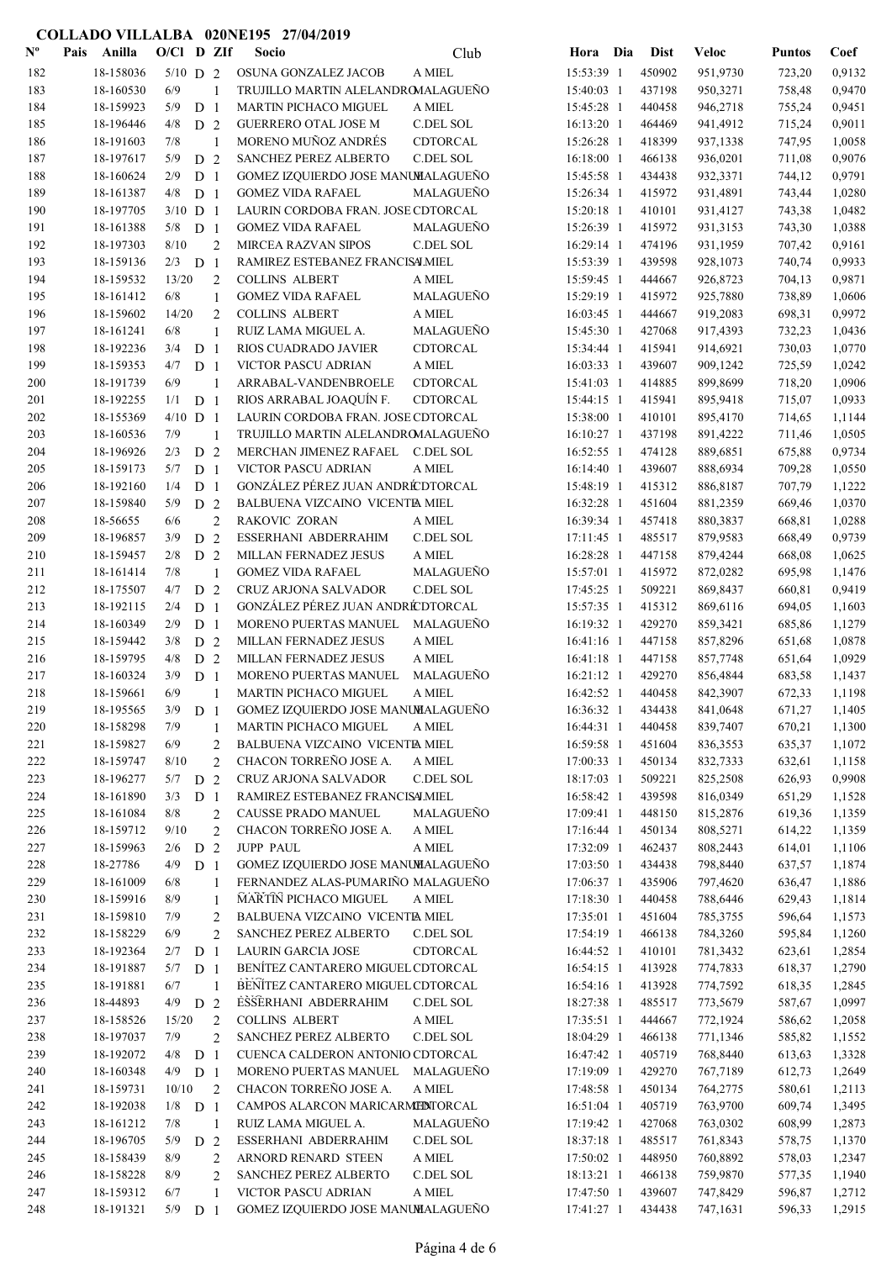| $\mathbf{N}^{\mathbf{o}}$ | Pais | Anilla                 | $O/C1$ D ZIf |                |                                  | Socio                                                       | Club             | Hora Dia                 | <b>Dist</b>      | <b>Veloc</b>         | <b>Puntos</b>    | Coef             |
|---------------------------|------|------------------------|--------------|----------------|----------------------------------|-------------------------------------------------------------|------------------|--------------------------|------------------|----------------------|------------------|------------------|
| 182                       |      | 18-158036              | $5/10$ D 2   |                |                                  | OSUNA GONZALEZ JACOB                                        | A MIEL           | 15:53:39 1               | 450902           | 951,9730             | 723,20           | 0,9132           |
| 183                       |      | 18-160530              | 6/9          |                | 1                                | TRUJILLO MARTIN ALELANDROMALAGUEÑO                          |                  | 15:40:03 1               | 437198           | 950,3271             | 758,48           | 0,9470           |
| 184                       |      | 18-159923              | 5/9          | D <sub>1</sub> |                                  | MARTIN PICHACO MIGUEL                                       | A MIEL           | 15:45:28 1               | 440458           | 946,2718             | 755,24           | 0,9451           |
| 185                       |      | 18-196446              | 4/8          | D <sub>2</sub> |                                  | <b>GUERRERO OTAL JOSE M</b>                                 | C.DEL SOL        | 16:13:20 1               | 464469           | 941,4912             | 715,24           | 0,9011           |
| 186                       |      | 18-191603              | 7/8          |                | 1                                | MORENO MUÑOZ ANDRÉS                                         | CDTORCAL         | 15:26:28 1               | 418399           | 937,1338             | 747,95           | 1,0058           |
| 187                       |      | 18-197617              | 5/9          | D 2            |                                  | SANCHEZ PEREZ ALBERTO                                       | C.DEL SOL        | 16:18:00 1               | 466138           | 936,0201             | 711,08           | 0,9076           |
| 188                       |      | 18-160624              | 2/9          | D <sub>1</sub> |                                  | GOMEZ IZQUIERDO JOSE MANUMALAGUEÑO                          |                  | 15:45:58 1               | 434438           | 932,3371             | 744,12           | 0,9791           |
| 189                       |      | 18-161387              | 4/8          | D <sub>1</sub> |                                  | <b>GOMEZ VIDA RAFAEL</b>                                    | MALAGUEÑO        | 15:26:34 1               | 415972           | 931,4891             | 743,44           | 1,0280           |
| 190                       |      | 18-197705              | $3/10$ D 1   |                |                                  | LAURIN CORDOBA FRAN. JOSE CDTORCAL                          |                  | 15:20:18 1               | 410101           | 931,4127             | 743,38           | 1,0482           |
| 191                       |      | 18-161388              | 5/8          | D <sub>1</sub> |                                  | <b>GOMEZ VIDA RAFAEL</b>                                    | MALAGUEÑO        | 15:26:39 1               | 415972           | 931,3153             | 743,30           | 1,0388           |
| 192                       |      | 18-197303              | 8/10         |                | $\overline{2}$                   | <b>MIRCEA RAZVAN SIPOS</b>                                  | C.DEL SOL        | 16:29:14 1               | 474196           | 931,1959             | 707,42           | 0,9161           |
| 193                       |      | 18-159136              | $2/3$ D 1    |                |                                  | RAMIREZ ESTEBANEZ FRANCISALMIEL                             |                  | 15:53:39 1               | 439598           | 928,1073             | 740,74           | 0,9933           |
| 194                       |      | 18-159532              | 13/20        |                | $\overline{c}$                   | <b>COLLINS ALBERT</b>                                       | A MIEL           | 15:59:45 1               | 444667           | 926,8723             | 704,13           | 0,9871           |
| 195                       |      | 18-161412              | 6/8          |                | 1                                | <b>GOMEZ VIDA RAFAEL</b>                                    | MALAGUEÑO        | 15:29:19 1               | 415972           | 925,7880             | 738,89           | 1,0606           |
| 196                       |      | 18-159602              | 14/20        |                | $\overline{c}$                   | <b>COLLINS ALBERT</b>                                       | A MIEL           | 16:03:45 1               | 444667           | 919,2083             | 698,31           | 0,9972           |
| 197                       |      | 18-161241              | 6/8          |                | $\mathbf{1}$                     | RUIZ LAMA MIGUEL A.                                         | MALAGUEÑO        | 15:45:30 1               | 427068           | 917,4393             | 732,23           | 1,0436           |
| 198                       |      | 18-192236              | 3/4          | D <sub>1</sub> |                                  | RIOS CUADRADO JAVIER                                        | <b>CDTORCAL</b>  | 15:34:44 1               | 415941           | 914,6921             | 730,03           | 1,0770           |
| 199                       |      | 18-159353              | 4/7          | D <sub>1</sub> |                                  | <b>VICTOR PASCU ADRIAN</b>                                  | A MIEL           | 16:03:33 1               | 439607           | 909,1242             | 725,59           | 1,0242           |
| 200                       |      | 18-191739              | 6/9          |                | 1                                | ARRABAL-VANDENBROELE                                        | CDTORCAL         | 15:41:03 1               | 414885           | 899,8699             | 718,20           | 1,0906           |
| 201                       |      | 18-192255              | 1/1          | D <sub>1</sub> |                                  | RIOS ARRABAL JOAQUÍN F.                                     | <b>CDTORCAL</b>  | 15:44:15 1               | 415941           | 895,9418             | 715,07           | 1,0933           |
| 202                       |      | 18-155369              | $4/10$ D 1   |                |                                  | LAURIN CORDOBA FRAN. JOSE CDTORCAL                          |                  | 15:38:00 1               | 410101           | 895,4170             | 714,65           | 1,1144           |
| 203                       |      | 18-160536              | 7/9          |                | 1                                | TRUJILLO MARTIN ALELANDROMALAGUEÑO                          |                  | 16:10:27 1               | 437198           | 891,4222             | 711,46           | 1,0505           |
| 204                       |      | 18-196926              | 2/3          | D <sub>2</sub> |                                  | MERCHAN JIMENEZ RAFAEL                                      | C.DEL SOL        | 16:52:55 1               | 474128           | 889,6851             | 675,88           | 0,9734           |
| 205                       |      | 18-159173              | 5/7          | D <sub>1</sub> |                                  | VICTOR PASCU ADRIAN                                         | A MIEL           | 16:14:40 1               | 439607           | 888,6934             | 709,28           | 1,0550           |
| 206                       |      | 18-192160              | 1/4          | D <sub>1</sub> |                                  | GONZÁLEZ PÉREZ JUAN ANDRÉ DTORCAL                           |                  | 15:48:19 1               | 415312           | 886,8187             | 707,79           | 1,1222           |
| 207                       |      | 18-159840              | 5/9          | D <sub>2</sub> |                                  | BALBUENA VIZCAINO VICENTE MIEL                              |                  | 16:32:28 1               | 451604           | 881,2359             | 669,46           | 1,0370           |
| 208                       |      | 18-56655               | 6/6          |                | $\overline{c}$                   | RAKOVIC ZORAN                                               | A MIEL           | 16:39:34 1               | 457418           | 880,3837             | 668,81           | 1,0288           |
| 209                       |      | 18-196857              | 3/9          | D <sub>2</sub> |                                  | ESSERHANI ABDERRAHIM                                        | C.DEL SOL        | 17:11:45 1               | 485517           | 879,9583             | 668,49           | 0,9739           |
| 210                       |      | 18-159457              | 2/8          | D <sub>2</sub> |                                  | MILLAN FERNADEZ JESUS                                       | $\mathbf A$ MIEL | 16:28:28 1               | 447158           | 879,4244             | 668,08           | 1,0625           |
| 211                       |      | 18-161414              | 7/8          |                | 1                                | <b>GOMEZ VIDA RAFAEL</b>                                    | MALAGUEÑO        | 15:57:01 1               | 415972           | 872,0282             | 695,98           | 1,1476           |
| 212                       |      | 18-175507              | 4/7          | D <sub>2</sub> |                                  | CRUZ ARJONA SALVADOR                                        | C.DEL SOL        | 17:45:25 1               | 509221           | 869,8437             | 660,81           | 0,9419           |
| 213                       |      | 18-192115              | 2/4          | D <sub>1</sub> |                                  | GONZÁLEZ PÉREZ JUAN ANDRÉ DTORCAL                           |                  | 15:57:35 1               | 415312           | 869,6116             | 694,05           | 1,1603           |
| 214                       |      | 18-160349              | 2/9          | D <sub>1</sub> |                                  | MORENO PUERTAS MANUEL                                       | MALAGUEÑO        | 16:19:32 1               | 429270           | 859,3421             | 685,86           | 1,1279           |
| 215                       |      | 18-159442              | 3/8          | D <sub>2</sub> |                                  | MILLAN FERNADEZ JESUS                                       | $\mathbf A$ MIEL | 16:41:16 1               | 447158           | 857,8296             | 651,68           | 1,0878           |
| 216                       |      | 18-159795              | 4/8          | D <sub>2</sub> |                                  | MILLAN FERNADEZ JESUS                                       | $\mathbf A$ MIEL | 16:41:18 1               | 447158           | 857,7748             | 651,64           | 1,0929           |
| 217                       |      | 18-160324              | 3/9          | D <sub>1</sub> |                                  | MORENO PUERTAS MANUEL                                       | MALAGUEÑO        | 16:21:12 1               | 429270           | 856,4844             | 683,58           | 1,1437           |
| 218                       |      | 18-159661<br>18-195565 | 6/9          |                | $\mathbf{1}$                     | MARTIN PICHACO MIGUEL                                       | A MIEL           | 16:42:52 1               | 440458           | 842,3907             | 672,33           | 1,1198           |
| 219<br>220                |      | 18-158298              | 3/9<br>7/9   | D <sub>1</sub> |                                  | GOMEZ IZQUIERDO JOSE MANUMALAGUEÑO<br>MARTIN PICHACO MIGUEL | A MIEL           | 16:36:32 1<br>16:44:31 1 | 434438<br>440458 | 841,0648<br>839,7407 | 671,27           | 1,1405           |
| 221                       |      | 18-159827              | 6/9          |                | 1                                | BALBUENA VIZCAINO VICENTE MIEL                              |                  | 16:59:58 1               | 451604           | 836,3553             | 670,21<br>635,37 | 1,1300<br>1,1072 |
| 222                       |      | 18-159747              | 8/10         |                | $\overline{c}$<br>$\mathfrak{2}$ | CHACON TORREÑO JOSE A.                                      | A MIEL           | 17:00:33 1               | 450134           | 832,7333             | 632,61           | 1,1158           |
| 223                       |      | 18-196277              | $5/7$ D $2$  |                |                                  | CRUZ ARJONA SALVADOR                                        | C.DEL SOL        | 18:17:03 1               | 509221           | 825,2508             | 626,93           | 0,9908           |
| 224                       |      | 18-161890              | 3/3          | D <sub>1</sub> |                                  | RAMIREZ ESTEBANEZ FRANCISALMIEL                             |                  | 16:58:42 1               | 439598           | 816,0349             | 651,29           | 1,1528           |
| 225                       |      | 18-161084              | 8/8          |                | $\overline{c}$                   | CAUSSE PRADO MANUEL                                         | MALAGUEÑO        | 17:09:41 1               | 448150           | 815,2876             | 619,36           | 1,1359           |
| 226                       |      | 18-159712              | 9/10         |                | $\overline{2}$                   | CHACON TORREÑO JOSE A.                                      | $\mathbf A$ MIEL | 17:16:44 1               | 450134           | 808,5271             | 614,22           | 1,1359           |
| 227                       |      | 18-159963              | 2/6          | D <sub>2</sub> |                                  | JUPP PAUL                                                   | $\mathbf A$ MIEL | 17:32:09 1               | 462437           | 808,2443             | 614,01           | 1,1106           |
| 228                       |      | 18-27786               | 4/9          | D <sub>1</sub> |                                  | GOMEZ IZQUIERDO JOSE MANUMALAGUEÑO                          |                  | 17:03:50 1               | 434438           | 798,8440             | 637,57           | 1,1874           |
| 229                       |      | 18-161009              | 6/8          |                | 1                                | FERNANDEZ ALAS-PUMARIÑO MALAGUEÑO                           |                  | 17:06:37 1               | 435906           | 797,4620             | 636,47           | 1,1886           |
| 230                       |      | 18-159916              | 8/9          |                | 1                                | <b>MARTIN PICHACO MIGUEL</b>                                | A MIEL           | 17:18:30 1               | 440458           | 788,6446             | 629,43           | 1,1814           |
| 231                       |      | 18-159810              | 7/9          |                | 2                                | BALBUENA VIZCAINO VICENTE MIEL                              |                  | 17:35:01 1               | 451604           | 785,3755             | 596,64           | 1,1573           |
| 232                       |      | 18-158229              | 6/9          |                | 2                                | SANCHEZ PEREZ ALBERTO                                       | C.DEL SOL        | 17:54:19 1               | 466138           | 784,3260             | 595,84           | 1,1260           |
| 233                       |      | 18-192364              | 2/7          | D <sub>1</sub> |                                  | <b>LAURIN GARCIA JOSE</b>                                   | CDTORCAL         | 16:44:52 1               | 410101           | 781,3432             | 623,61           | 1,2854           |
| 234                       |      | 18-191887              | 5/7          | D <sub>1</sub> |                                  | BENÍTEZ CANTARERO MIGUEL CDTORCAL                           |                  | 16:54:15 1               | 413928           | 774,7833             | 618,37           | 1,2790           |
| 235                       |      | 18-191881              | 6/7          |                | 1                                | BENÍTEZ CANTARERO MIGUEL CDTORCAL                           |                  | 16:54:16 1               | 413928           | 774,7592             | 618,35           | 1,2845           |
| 236                       |      | 18-44893               | 4/9          | D 2            |                                  | ESSERHANI ABDERRAHIM                                        | C.DEL SOL        | 18:27:38 1               | 485517           | 773,5679             | 587,67           | 1,0997           |
| 237                       |      | 18-158526              | 15/20        |                | $\overline{2}$                   | <b>COLLINS ALBERT</b>                                       | A MIEL           | 17:35:51 1               | 444667           | 772,1924             | 586,62           | 1,2058           |
| 238                       |      | 18-197037              | 7/9          |                | $\overline{2}$                   | SANCHEZ PEREZ ALBERTO                                       | C.DEL SOL        | 18:04:29 1               | 466138           | 771,1346             | 585,82           | 1,1552           |
| 239                       |      | 18-192072              | 4/8          | D <sub>1</sub> |                                  | CUENCA CALDERON ANTONIO CDTORCAL                            |                  | 16:47:42 1               | 405719           | 768,8440             | 613,63           | 1,3328           |
| 240                       |      | 18-160348              | $4/9$ D 1    |                |                                  | MORENO PUERTAS MANUEL                                       | MALAGUEÑO        | 17:19:09 1               | 429270           | 767,7189             | 612,73           | 1,2649           |
| 241                       |      | 18-159731              | 10/10        |                | $\overline{2}$                   | CHACON TORREÑO JOSE A.                                      | A MIEL           | 17:48:58 1               | 450134           | 764,2775             | 580,61           | 1,2113           |
| 242                       |      | 18-192038              | $1/8$ D 1    |                |                                  | CAMPOS ALARCON MARICARMEDITORCAL                            |                  | 16:51:04 1               | 405719           | 763,9700             | 609,74           | 1,3495           |
| 243                       |      | 18-161212              | 7/8          |                | 1                                | RUIZ LAMA MIGUEL A.                                         | MALAGUEÑO        | 17:19:42 1               | 427068           | 763,0302             | 608,99           | 1,2873           |
| 244                       |      | 18-196705              | 5/9          | D <sub>2</sub> |                                  | ESSERHANI ABDERRAHIM                                        | C.DEL SOL        | 18:37:18 1               | 485517           | 761,8343             | 578,75           | 1,1370           |
| 245                       |      | 18-158439              | 8/9          |                | $\overline{c}$                   | ARNORD RENARD STEEN                                         | $\mathbf A$ MIEL | 17:50:02 1               | 448950           | 760,8892             | 578,03           | 1,2347           |
| 246                       |      | 18-158228              | 8/9          |                | 2                                | SANCHEZ PEREZ ALBERTO                                       | C.DEL SOL        | 18:13:21 1               | 466138           | 759,9870             | 577,35           | 1,1940           |
| 247                       |      | 18-159312              | 6/7          |                | $\mathbf{1}$                     | VICTOR PASCU ADRIAN                                         | $\mathbf A$ MIEL | 17:47:50 1               | 439607           | 747,8429             | 596,87           | 1,2712           |
| 248                       |      | 18-191321              | $5/9$ D 1    |                |                                  | GOMEZ IZQUIERDO JOSE MANUMALAGUEÑO                          |                  | 17:41:27 1               | 434438           | 747,1631             | 596,33           | 1,2915           |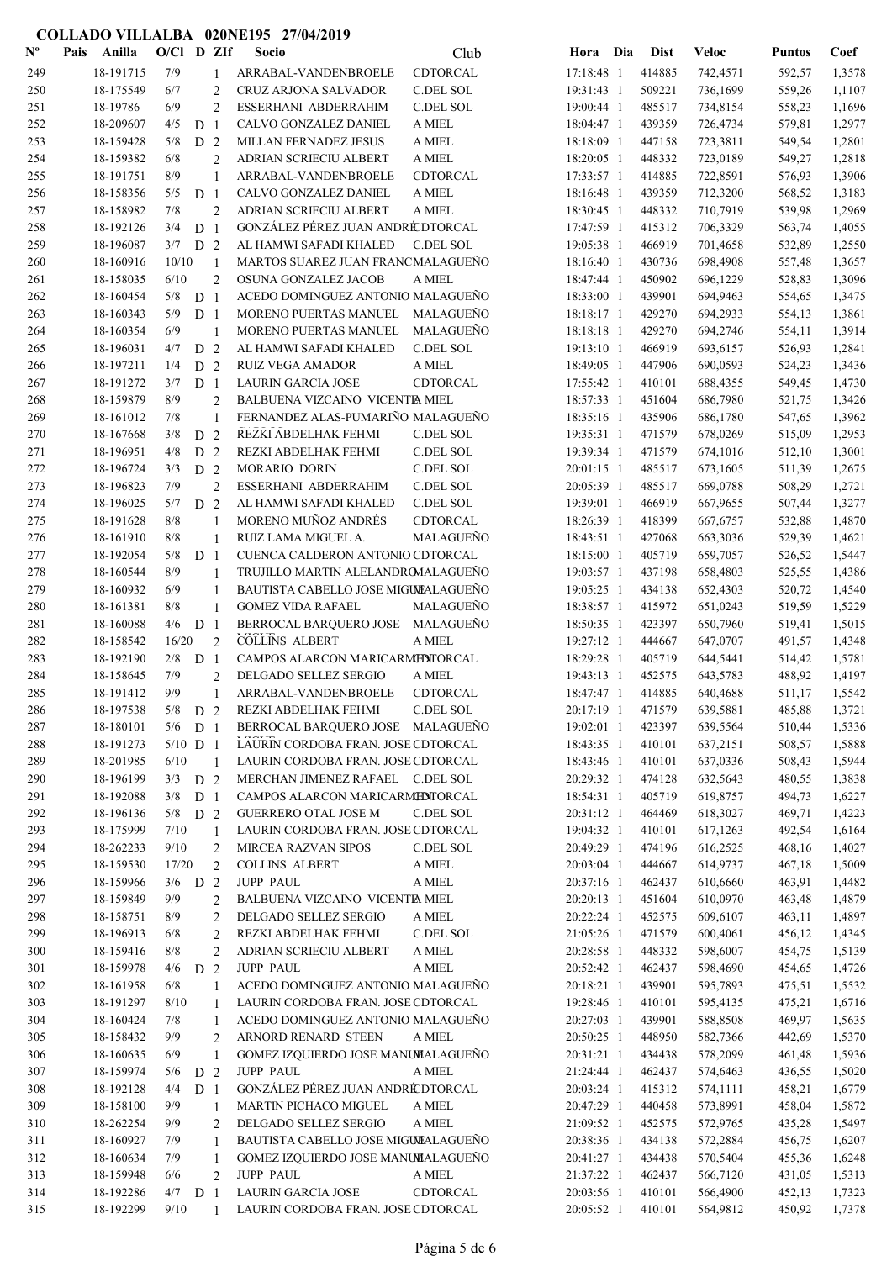| $\mathbf{N}^{\mathbf{o}}$ | Pais | Anilla    | $O/Cl$ D ZIf |                |                | Socio                               | Club             | Hora Dia   | <b>Dist</b> | <b>Veloc</b> | <b>Puntos</b> | Coef   |
|---------------------------|------|-----------|--------------|----------------|----------------|-------------------------------------|------------------|------------|-------------|--------------|---------------|--------|
| 249                       |      | 18-191715 | 7/9          |                | 1              | ARRABAL-VANDENBROELE                | CDTORCAL         | 17:18:48 1 | 414885      | 742,4571     | 592,57        | 1,3578 |
| 250                       |      | 18-175549 | 6/7          |                | $\overline{2}$ | CRUZ ARJONA SALVADOR                | C.DEL SOL        | 19:31:43 1 | 509221      | 736,1699     | 559,26        | 1,1107 |
| 251                       |      | 18-19786  | 6/9          |                | $\overline{2}$ | ESSERHANI ABDERRAHIM                | C.DEL SOL        | 19:00:44 1 | 485517      | 734,8154     | 558,23        | 1,1696 |
| 252                       |      | 18-209607 | 4/5          | D <sub>1</sub> |                | CALVO GONZALEZ DANIEL               | A MIEL           | 18:04:47 1 | 439359      | 726,4734     | 579,81        | 1,2977 |
| 253                       |      | 18-159428 | 5/8          | D <sub>2</sub> |                | MILLAN FERNADEZ JESUS               | A MIEL           | 18:18:09 1 | 447158      | 723,3811     | 549,54        | 1,2801 |
| 254                       |      | 18-159382 | 6/8          |                | $\overline{2}$ | ADRIAN SCRIECIU ALBERT              | A MIEL           | 18:20:05 1 | 448332      | 723,0189     | 549,27        | 1,2818 |
| 255                       |      | 18-191751 | 8/9          |                | $\mathbf{1}$   | ARRABAL-VANDENBROELE                | CDTORCAL         | 17:33:57 1 | 414885      | 722,8591     | 576,93        | 1,3906 |
| 256                       |      | 18-158356 | 5/5          | D <sub>1</sub> |                | CALVO GONZALEZ DANIEL               | A MIEL           | 18:16:48 1 | 439359      | 712,3200     | 568,52        | 1,3183 |
| 257                       |      | 18-158982 | 7/8          |                | $\overline{2}$ | ADRIAN SCRIECIU ALBERT              | A MIEL           | 18:30:45 1 | 448332      | 710,7919     | 539,98        | 1,2969 |
| 258                       |      | 18-192126 | 3/4          | D <sub>1</sub> |                | GONZÁLEZ PÉREZ JUAN ANDRÉCDTORCAL   |                  | 17:47:59 1 | 415312      | 706,3329     | 563,74        | 1,4055 |
| 259                       |      | 18-196087 | 3/7          | D <sub>2</sub> |                | AL HAMWI SAFADI KHALED              | <b>C.DEL SOL</b> | 19:05:38 1 | 466919      | 701,4658     | 532,89        | 1,2550 |
| 260                       |      | 18-160916 | 10/10        |                |                | MARTOS SUAREZ JUAN FRANCMALAGUEÑO   |                  | 18:16:40 1 | 430736      | 698,4908     | 557,48        | 1,3657 |
| 261                       |      | 18-158035 | 6/10         |                | $\overline{2}$ | OSUNA GONZALEZ JACOB                | A MIEL           | 18:47:44 1 | 450902      | 696,1229     | 528,83        | 1,3096 |
| 262                       |      | 18-160454 | 5/8          | D <sub>1</sub> |                | ACEDO DOMINGUEZ ANTONIO MALAGUEÑO   |                  | 18:33:00 1 | 439901      | 694,9463     | 554,65        | 1,3475 |
| 263                       |      | 18-160343 | 5/9          | D <sub>1</sub> |                | MORENO PUERTAS MANUEL               | MALAGUEÑO        | 18:18:17 1 | 429270      | 694,2933     | 554,13        | 1,3861 |
| 264                       |      | 18-160354 | 6/9          |                | -1             | MORENO PUERTAS MANUEL               | MALAGUEÑO        | 18:18:18 1 | 429270      | 694,2746     | 554,11        | 1,3914 |
| 265                       |      | 18-196031 | 4/7          | D <sub>2</sub> |                | AL HAMWI SAFADI KHALED              | C.DEL SOL        | 19:13:10 1 | 466919      | 693,6157     | 526,93        | 1,2841 |
| 266                       |      | 18-197211 | 1/4          | D <sub>2</sub> |                | <b>RUIZ VEGA AMADOR</b>             | A MIEL           | 18:49:05 1 | 447906      | 690,0593     | 524,23        | 1,3436 |
| 267                       |      | 18-191272 | 3/7          | D <sub>1</sub> |                | LAURIN GARCIA JOSE                  | CDTORCAL         | 17:55:42 1 | 410101      | 688,4355     | 549,45        | 1,4730 |
| 268                       |      | 18-159879 | 8/9          |                | $\overline{2}$ | BALBUENA VIZCAINO VICENTE MIEL      |                  | 18:57:33 1 | 451604      | 686,7980     | 521,75        | 1,3426 |
| 269                       |      | 18-161012 | 7/8          |                | $\mathbf{1}$   | FERNANDEZ ALAS-PUMARIÑO MALAGUEÑO   |                  | 18:35:16 1 | 435906      | 686,1780     | 547,65        | 1,3962 |
| 270                       |      | 18-167668 | 3/8          | D <sub>2</sub> |                | REZKI ABDELHAK FEHMI                | C.DEL SOL        | 19:35:31 1 | 471579      | 678,0269     | 515,09        | 1,2953 |
| 271                       |      | 18-196951 | 4/8          | D <sub>2</sub> |                | REZKI ABDELHAK FEHMI                | C.DEL SOL        | 19:39:34 1 | 471579      | 674,1016     | 512,10        | 1,3001 |
| 272                       |      | 18-196724 | 3/3          | D <sub>2</sub> |                | MORARIO DORIN                       | C.DEL SOL        | 20:01:15 1 | 485517      | 673,1605     | 511,39        | 1,2675 |
| 273                       |      | 18-196823 | 7/9          |                | $\overline{2}$ | ESSERHANI ABDERRAHIM                | C.DEL SOL        | 20:05:39 1 | 485517      | 669,0788     | 508,29        | 1,2721 |
| 274                       |      | 18-196025 | 5/7          | D <sub>2</sub> |                | AL HAMWI SAFADI KHALED              | C.DEL SOL        | 19:39:01 1 | 466919      | 667,9655     | 507,44        | 1,3277 |
| 275                       |      | 18-191628 | 8/8          |                | $\mathbf{1}$   | MORENO MUÑOZ ANDRÉS                 | CDTORCAL         | 18:26:39 1 | 418399      | 667,6757     | 532,88        | 1,4870 |
| 276                       |      | 18-161910 | 8/8          |                | 1              | RUIZ LAMA MIGUEL A.                 | MALAGUEÑO        | 18:43:51 1 | 427068      | 663,3036     | 529,39        | 1,4621 |
| 277                       |      | 18-192054 | 5/8          | D <sub>1</sub> |                | CUENCA CALDERON ANTONIO CDTORCAL    |                  | 18:15:00 1 | 405719      | 659,7057     | 526,52        | 1,5447 |
| 278                       |      | 18-160544 | 8/9          |                | $\mathbf{1}$   | TRUJILLO MARTIN ALELANDROMALAGUEÑO  |                  | 19:03:57 1 | 437198      | 658,4803     | 525,55        | 1,4386 |
| 279                       |      | 18-160932 | 6/9          |                | $\mathbf{1}$   | BAUTISTA CABELLO JOSE MIGULALAGUEÑO |                  | 19:05:25 1 | 434138      | 652,4303     | 520,72        | 1,4540 |
| 280                       |      | 18-161381 | 8/8          |                | $\mathbf{1}$   | <b>GOMEZ VIDA RAFAEL</b>            | MALAGUEÑO        | 18:38:57 1 | 415972      | 651,0243     | 519,59        | 1,5229 |
| 281                       |      | 18-160088 | 4/6          | D <sub>1</sub> |                | BERROCAL BARQUERO JOSE              | MALAGUEÑO        | 18:50:35 1 | 423397      | 650,7960     | 519,41        | 1,5015 |
| 282                       |      | 18-158542 | 16/20        |                | $\overline{2}$ | <b>COLLINS ALBERT</b>               | A MIEL           | 19:27:12 1 | 444667      | 647,0707     | 491,57        | 1,4348 |
| 283                       |      | 18-192190 | 2/8          | D <sub>1</sub> |                | CAMPOS ALARCON MARICARMEDITORCAL    |                  | 18:29:28 1 | 405719      | 644,5441     | 514,42        | 1,5781 |
| 284                       |      | 18-158645 | 7/9          |                | $\overline{2}$ | DELGADO SELLEZ SERGIO               | A MIEL           | 19:43:13 1 | 452575      | 643,5783     | 488,92        | 1,4197 |
| 285                       |      | 18-191412 | 9/9          |                | 1              | ARRABAL-VANDENBROELE                | CDTORCAL         | 18:47:47 1 | 414885      | 640,4688     | 511,17        | 1,5542 |
| 286                       |      | 18-197538 | 5/8          | D <sub>2</sub> |                | REZKI ABDELHAK FEHMI                | C.DEL SOL        | 20:17:19 1 | 471579      | 639,5881     | 485,88        | 1,3721 |
| 287                       |      | 18-180101 | $5/6$ D 1    |                |                | BERROCAL BARQUERO JOSE MALAGUEÑO    |                  | 19:02:01 1 | 423397      | 639,5564     | 510,44        | 1,5336 |
| 288                       |      | 18-191273 | $5/10$ D 1   |                |                | LAURIN CORDOBA FRAN. JOSE CDTORCAL  |                  | 18:43:35 1 | 410101      | 637,2151     | 508,57        | 1,5888 |
| 289                       |      | 18-201985 | 6/10         |                | -1             | LAURIN CORDOBA FRAN. JOSE CDTORCAL  |                  | 18:43:46 1 | 410101      | 637,0336     | 508,43        | 1,5944 |
| 290                       |      | 18-196199 | $3/3$ D 2    |                |                | MERCHAN JIMENEZ RAFAEL C.DEL SOL    |                  | 20:29:32 1 | 474128      | 632,5643     | 480,55        | 1,3838 |
| 291                       |      | 18-192088 | $3/8$ D 1    |                |                | CAMPOS ALARCON MARICARMENTORCAL     |                  | 18:54:31 1 | 405719      | 619,8757     | 494,73        | 1,6227 |
| 292                       |      | 18-196136 | $5/8$ D 2    |                |                | <b>GUERRERO OTAL JOSE M</b>         | C.DEL SOL        | 20:31:12 1 | 464469      | 618,3027     | 469,71        | 1,4223 |
| 293                       |      | 18-175999 | 7/10         |                | 1              | LAURIN CORDOBA FRAN. JOSE CDTORCAL  |                  | 19:04:32 1 | 410101      | 617,1263     | 492,54        | 1,6164 |
| 294                       |      | 18-262233 | 9/10         |                | $\overline{2}$ | <b>MIRCEA RAZVAN SIPOS</b>          | C.DEL SOL        | 20:49:29 1 | 474196      | 616,2525     | 468,16        | 1,4027 |
| 295                       |      | 18-159530 | 17/20        |                | $\overline{2}$ | <b>COLLINS ALBERT</b>               | A MIEL           | 20:03:04 1 | 444667      | 614,9737     | 467,18        | 1,5009 |
| 296                       |      | 18-159966 | $3/6$ D 2    |                |                | <b>JUPP PAUL</b>                    | A MIEL           | 20:37:16 1 | 462437      | 610,6660     | 463,91        | 1,4482 |
| 297                       |      | 18-159849 | 9/9          |                | $\overline{2}$ | BALBUENA VIZCAINO VICENTE MIEL      |                  | 20:20:13 1 | 451604      | 610,0970     | 463,48        | 1,4879 |
| 298                       |      | 18-158751 | 8/9          |                | $\overline{2}$ | DELGADO SELLEZ SERGIO               | A MIEL           | 20:22:24 1 | 452575      | 609,6107     | 463,11        | 1,4897 |
| 299                       |      | 18-196913 | 6/8          |                | $\overline{c}$ | REZKI ABDELHAK FEHMI                | C.DEL SOL        | 21:05:26 1 | 471579      | 600,4061     | 456,12        | 1,4345 |
| 300                       |      | 18-159416 | 8/8          |                | $\overline{2}$ | ADRIAN SCRIECIU ALBERT              | A MIEL           | 20:28:58 1 | 448332      | 598,6007     | 454,75        | 1,5139 |
| 301                       |      | 18-159978 | 4/6          | D 2            |                | <b>JUPP PAUL</b>                    | A MIEL           | 20:52:42 1 | 462437      | 598,4690     | 454,65        | 1,4726 |
| 302                       |      | 18-161958 | 6/8          |                | 1              | ACEDO DOMINGUEZ ANTONIO MALAGUEÑO   |                  | 20:18:21 1 | 439901      | 595,7893     | 475,51        | 1,5532 |
| 303                       |      | 18-191297 | 8/10         |                | 1              | LAURIN CORDOBA FRAN. JOSE CDTORCAL  |                  | 19:28:46 1 | 410101      | 595,4135     | 475,21        | 1,6716 |
| 304                       |      | 18-160424 | 7/8          |                | $\mathbf{1}$   | ACEDO DOMINGUEZ ANTONIO MALAGUEÑO   |                  | 20:27:03 1 | 439901      | 588,8508     | 469,97        | 1,5635 |
| 305                       |      | 18-158432 | 9/9          |                | $\overline{2}$ | ARNORD RENARD STEEN                 | A MIEL           | 20:50:25 1 | 448950      | 582,7366     | 442,69        | 1,5370 |
| 306                       |      | 18-160635 | 6/9          |                | 1              | GOMEZ IZQUIERDO JOSE MANUMALAGUEÑO  |                  | 20:31:21 1 | 434438      | 578,2099     | 461,48        | 1,5936 |
| 307                       |      | 18-159974 | 5/6          | D <sub>2</sub> |                | <b>JUPP PAUL</b>                    | A MIEL           | 21:24:44 1 | 462437      | 574,6463     | 436,55        | 1,5020 |
| 308                       |      | 18-192128 | 4/4          | D <sub>1</sub> |                | GONZÁLEZ PÉREZ JUAN ANDRÉ DTORCAL   |                  | 20:03:24 1 | 415312      | 574,1111     | 458,21        | 1,6779 |
| 309                       |      | 18-158100 | 9/9          |                | 1              | MARTIN PICHACO MIGUEL               | A MIEL           | 20:47:29 1 | 440458      | 573,8991     | 458,04        | 1,5872 |
| 310                       |      | 18-262254 | 9/9          |                | $\overline{2}$ | DELGADO SELLEZ SERGIO               | A MIEL           | 21:09:52 1 | 452575      | 572,9765     | 435,28        | 1,5497 |
| 311                       |      | 18-160927 | 7/9          |                | 1              | BAUTISTA CABELLO JOSE MIGULALAGUEÑO |                  | 20:38:36 1 | 434138      | 572,2884     | 456,75        | 1,6207 |
| 312                       |      | 18-160634 | 7/9          |                | $\mathbf{1}$   | GOMEZ IZQUIERDO JOSE MANUMALAGUEÑO  |                  | 20:41:27 1 | 434438      | 570,5404     | 455,36        | 1,6248 |
| 313                       |      | 18-159948 | 6/6          |                | $\overline{2}$ | <b>JUPP PAUL</b>                    | A MIEL           | 21:37:22 1 | 462437      | 566,7120     | 431,05        | 1,5313 |
| 314                       |      | 18-192286 | $4/7$ D 1    |                |                | LAURIN GARCIA JOSE                  | CDTORCAL         | 20:03:56 1 | 410101      | 566,4900     | 452,13        | 1,7323 |
| 315                       |      | 18-192299 | 9/10         |                | $\overline{1}$ | LAURIN CORDOBA FRAN. JOSE CDTORCAL  |                  | 20:05:52 1 | 410101      | 564,9812     | 450,92        | 1,7378 |